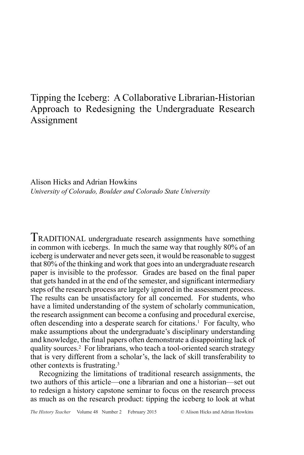# Tipping the Iceberg: A Collaborative Librarian-Historian Approach to Redesigning the Undergraduate Research Assignment

Alison Hicks and Adrian Howkins *University of Colorado, Boulder and Colorado State University*

TRADITIONAL undergraduate research assignments have something in common with icebergs. In much the same way that roughly 80% of an iceberg is underwater and never gets seen, it would be reasonable to suggest that 80% of the thinking and work that goes into an undergraduate research paper is invisible to the professor. Grades are based on the final paper that gets handed in at the end of the semester, and significant intermediary steps of the research process are largely ignored in the assessment process. The results can be unsatisfactory for all concerned. For students, who have a limited understanding of the system of scholarly communication, the research assignment can become a confusing and procedural exercise, often descending into a desperate search for citations.<sup>1</sup> For faculty, who make assumptions about the undergraduate's disciplinary understanding and knowledge, the final papers often demonstrate a disappointing lack of quality sources.2 For librarians, who teach a tool-oriented search strategy that is very different from a scholar's, the lack of skill transferability to other contexts is frustrating.3

Recognizing the limitations of traditional research assignments, the two authors of this article—one a librarian and one a historian—set out to redesign a history capstone seminar to focus on the research process as much as on the research product: tipping the iceberg to look at what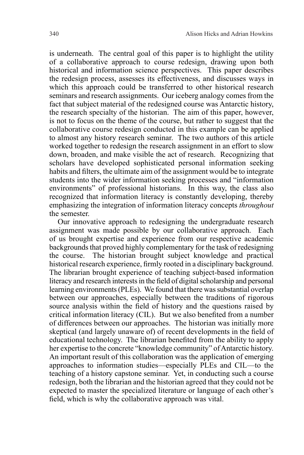is underneath. The central goal of this paper is to highlight the utility of a collaborative approach to course redesign, drawing upon both historical and information science perspectives. This paper describes the redesign process, assesses its effectiveness, and discusses ways in which this approach could be transferred to other historical research seminars and research assignments. Our iceberg analogy comes from the fact that subject material of the redesigned course was Antarctic history, the research specialty of the historian. The aim of this paper, however, is not to focus on the theme of the course, but rather to suggest that the collaborative course redesign conducted in this example can be applied to almost any history research seminar. The two authors of this article worked together to redesign the research assignment in an effort to slow down, broaden, and make visible the act of research. Recognizing that scholars have developed sophisticated personal information seeking habits and filters, the ultimate aim of the assignment would be to integrate students into the wider information seeking processes and "information environments" of professional historians. In this way, the class also recognized that information literacy is constantly developing, thereby emphasizing the integration of information literacy concepts *throughout* the semester.

Our innovative approach to redesigning the undergraduate research assignment was made possible by our collaborative approach. Each of us brought expertise and experience from our respective academic backgrounds that proved highly complementary for the task of redesigning the course. The historian brought subject knowledge and practical historical research experience, firmly rooted in a disciplinary background. The librarian brought experience of teaching subject-based information literacy and research interests in the field of digital scholarship and personal learning environments (PLEs). We found that there was substantial overlap between our approaches, especially between the traditions of rigorous source analysis within the field of history and the questions raised by critical information literacy (CIL). But we also benefited from a number of differences between our approaches. The historian was initially more skeptical (and largely unaware of) of recent developments in the field of educational technology. The librarian benefited from the ability to apply her expertise to the concrete "knowledge community" of Antarctic history. An important result of this collaboration was the application of emerging approaches to information studies—especially PLEs and CIL—to the teaching of a history capstone seminar. Yet, in conducting such a course redesign, both the librarian and the historian agreed that they could not be expected to master the specialized literature or language of each other's field, which is why the collaborative approach was vital.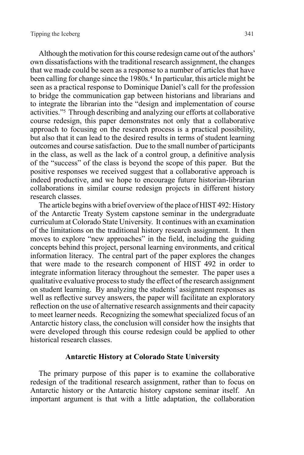Although the motivation for this course redesign came out of the authors' own dissatisfactions with the traditional research assignment, the changes that we made could be seen as a response to a number of articles that have been calling for change since the 1980s.<sup>4</sup> In particular, this article might be seen as a practical response to Dominique Daniel's call for the profession to bridge the communication gap between historians and librarians and to integrate the librarian into the "design and implementation of course activities."5 Through describing and analyzing our efforts at collaborative course redesign, this paper demonstrates not only that a collaborative approach to focusing on the research process is a practical possibility, but also that it can lead to the desired results in terms of student learning outcomes and course satisfaction. Due to the small number of participants in the class, as well as the lack of a control group, a definitive analysis of the "success" of the class is beyond the scope of this paper. But the positive responses we received suggest that a collaborative approach is indeed productive, and we hope to encourage future historian-librarian collaborations in similar course redesign projects in different history research classes.

The article begins with a brief overview of the place of HIST 492: History of the Antarctic Treaty System capstone seminar in the undergraduate curriculum at Colorado State University. It continues with an examination of the limitations on the traditional history research assignment. It then moves to explore "new approaches" in the field, including the guiding concepts behind this project, personal learning environments, and critical information literacy. The central part of the paper explores the changes that were made to the research component of HIST 492 in order to integrate information literacy throughout the semester. The paper uses a qualitative evaluative process to study the effect of the research assignment on student learning. By analyzing the students' assignment responses as well as reflective survey answers, the paper will facilitate an exploratory reflection on the use of alternative research assignments and their capacity to meet learner needs. Recognizing the somewhat specialized focus of an Antarctic history class, the conclusion will consider how the insights that were developed through this course redesign could be applied to other historical research classes.

#### **Antarctic History at Colorado State University**

The primary purpose of this paper is to examine the collaborative redesign of the traditional research assignment, rather than to focus on Antarctic history or the Antarctic history capstone seminar itself. An important argument is that with a little adaptation, the collaboration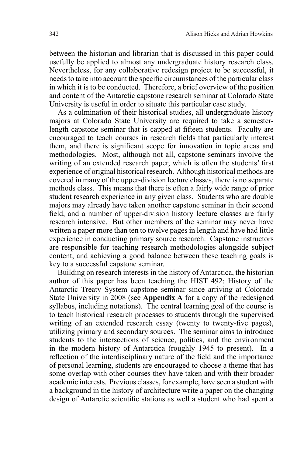between the historian and librarian that is discussed in this paper could usefully be applied to almost any undergraduate history research class. Nevertheless, for any collaborative redesign project to be successful, it needs to take into account the specific circumstances of the particular class in which it is to be conducted. Therefore, a brief overview of the position and content of the Antarctic capstone research seminar at Colorado State University is useful in order to situate this particular case study.

As a culmination of their historical studies, all undergraduate history majors at Colorado State University are required to take a semesterlength capstone seminar that is capped at fifteen students. Faculty are encouraged to teach courses in research fields that particularly interest them, and there is significant scope for innovation in topic areas and methodologies. Most, although not all, capstone seminars involve the writing of an extended research paper, which is often the students' first experience of original historical research. Although historical methods are covered in many of the upper-division lecture classes, there is no separate methods class. This means that there is often a fairly wide range of prior student research experience in any given class. Students who are double majors may already have taken another capstone seminar in their second field, and a number of upper-division history lecture classes are fairly research intensive. But other members of the seminar may never have written a paper more than ten to twelve pages in length and have had little experience in conducting primary source research. Capstone instructors are responsible for teaching research methodologies alongside subject content, and achieving a good balance between these teaching goals is key to a successful capstone seminar.

Building on research interests in the history of Antarctica, the historian author of this paper has been teaching the HIST 492: History of the Antarctic Treaty System capstone seminar since arriving at Colorado State University in 2008 (see **Appendix A** for a copy of the redesigned syllabus, including notations). The central learning goal of the course is to teach historical research processes to students through the supervised writing of an extended research essay (twenty to twenty-five pages), utilizing primary and secondary sources. The seminar aims to introduce students to the intersections of science, politics, and the environment in the modern history of Antarctica (roughly 1945 to present). In a reflection of the interdisciplinary nature of the field and the importance of personal learning, students are encouraged to choose a theme that has some overlap with other courses they have taken and with their broader academic interests. Previous classes, for example, have seen a student with a background in the history of architecture write a paper on the changing design of Antarctic scientific stations as well a student who had spent a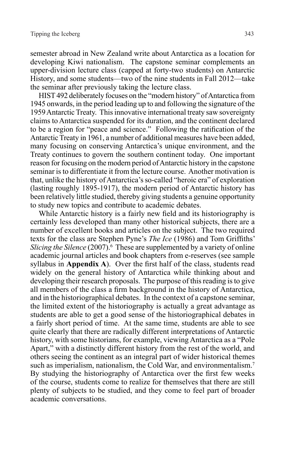semester abroad in New Zealand write about Antarctica as a location for developing Kiwi nationalism. The capstone seminar complements an upper-division lecture class (capped at forty-two students) on Antarctic History, and some students—two of the nine students in Fall 2012—take the seminar after previously taking the lecture class.

HIST 492 deliberately focuses on the "modern history" of Antarctica from 1945 onwards, in the period leading up to and following the signature of the 1959 Antarctic Treaty. This innovative international treaty saw sovereignty claims to Antarctica suspended for its duration, and the continent declared to be a region for "peace and science." Following the ratification of the Antarctic Treaty in 1961, a number of additional measures have been added, many focusing on conserving Antarctica's unique environment, and the Treaty continues to govern the southern continent today. One important reason for focusing on the modern period of Antarctic history in the capstone seminar is to differentiate it from the lecture course. Another motivation is that, unlike the history of Antarctica's so-called "heroic era" of exploration (lasting roughly 1895-1917), the modern period of Antarctic history has been relatively little studied, thereby giving students a genuine opportunity to study new topics and contribute to academic debates.

While Antarctic history is a fairly new field and its historiography is certainly less developed than many other historical subjects, there are a number of excellent books and articles on the subject. The two required texts for the class are Stephen Pyne's *The Ice* (1986) and Tom Griffiths' Slicing the Silence (2007).<sup>6</sup> These are supplemented by a variety of online academic journal articles and book chapters from e-reserves (see sample syllabus in **Appendix A**). Over the first half of the class, students read widely on the general history of Antarctica while thinking about and developing their research proposals. The purpose of this reading is to give all members of the class a firm background in the history of Antarctica, and in the historiographical debates. In the context of a capstone seminar, the limited extent of the historiography is actually a great advantage as students are able to get a good sense of the historiographical debates in a fairly short period of time. At the same time, students are able to see quite clearly that there are radically different interpretations of Antarctic history, with some historians, for example, viewing Antarctica as a "Pole Apart," with a distinctly different history from the rest of the world, and others seeing the continent as an integral part of wider historical themes such as imperialism, nationalism, the Cold War, and environmentalism.<sup>7</sup> By studying the historiography of Antarctica over the first few weeks of the course, students come to realize for themselves that there are still plenty of subjects to be studied, and they come to feel part of broader academic conversations.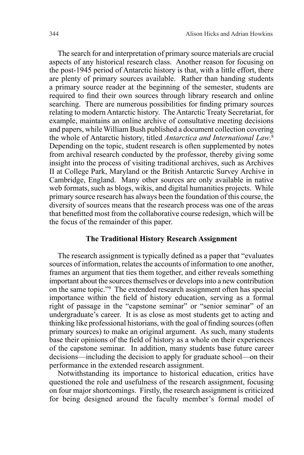The search for and interpretation of primary source materials are crucial aspects of any historical research class. Another reason for focusing on the post-1945 period of Antarctic history is that, with a little effort, there are plenty of primary sources available. Rather than handing students a primary source reader at the beginning of the semester, students are required to find their own sources through library research and online searching. There are numerous possibilities for finding primary sources relating to modern Antarctic history. The Antarctic Treaty Secretariat, for example, maintains an online archive of consultative meeting decisions and papers, while William Bush published a document collection covering the whole of Antarctic history, titled *Antarctica and International Law*. 8 Depending on the topic, student research is often supplemented by notes from archival research conducted by the professor, thereby giving some insight into the process of visiting traditional archives, such as Archives II at College Park, Maryland or the British Antarctic Survey Archive in Cambridge, England. Many other sources are only available in native web formats, such as blogs, wikis, and digital humanities projects. While primary source research has always been the foundation of this course, the diversity of sources means that the research process was one of the areas that benefitted most from the collaborative course redesign, which will be the focus of the remainder of this paper.

### **The Traditional History Research Assignment**

The research assignment is typically defined as a paper that "evaluates sources of information, relates the accounts of information to one another, frames an argument that ties them together, and either reveals something important about the sources themselves or develops into a new contribution on the same topic."9 The extended research assignment often has special importance within the field of history education, serving as a formal right of passage in the "capstone seminar" or "senior seminar" of an undergraduate's career. It is as close as most students get to acting and thinking like professional historians, with the goal of finding sources (often primary sources) to make an original argument. As such, many students base their opinions of the field of history as a whole on their experiences of the capstone seminar. In addition, many students base future career decisions—including the decision to apply for graduate school—on their performance in the extended research assignment.

Notwithstanding its importance to historical education, critics have questioned the role and usefulness of the research assignment, focusing on four major shortcomings. Firstly, the research assignment is criticized for being designed around the faculty member's formal model of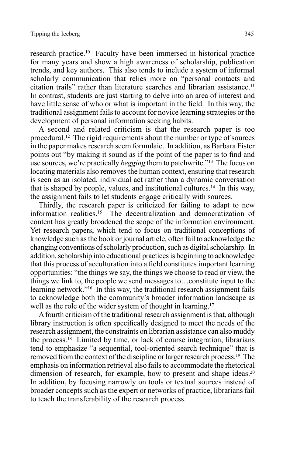research practice.10 Faculty have been immersed in historical practice for many years and show a high awareness of scholarship, publication trends, and key authors. This also tends to include a system of informal scholarly communication that relies more on "personal contacts and citation trails" rather than literature searches and librarian assistance.11 In contrast, students are just starting to delve into an area of interest and have little sense of who or what is important in the field. In this way, the traditional assignment fails to account for novice learning strategies or the development of personal information seeking habits.

A second and related criticism is that the research paper is too procedural.12 The rigid requirements about the number or type of sources in the paper makes research seem formulaic. In addition, as Barbara Fister points out "by making it sound as if the point of the paper is to find and use sources, we're practically *begging* them to patchwrite."13 The focus on locating materials also removes the human context, ensuring that research is seen as an isolated, individual act rather than a dynamic conversation that is shaped by people, values, and institutional cultures.14 In this way, the assignment fails to let students engage critically with sources.

Thirdly, the research paper is criticized for failing to adapt to new information realities.15 The decentralization and democratization of content has greatly broadened the scope of the information environment. Yet research papers, which tend to focus on traditional conceptions of knowledge such as the book or journal article, often fail to acknowledge the changing conventions of scholarly production, such as digital scholarship. In addition, scholarship into educational practices is beginning to acknowledge that this process of acculturation into a field constitutes important learning opportunities: "the things we say, the things we choose to read or view, the things we link to, the people we send messages to…constitute input to the learning network."<sup>16</sup> In this way, the traditional research assignment fails to acknowledge both the community's broader information landscape as well as the role of the wider system of thought in learning.<sup>17</sup>

A fourth criticism of the traditional research assignment is that, although library instruction is often specifically designed to meet the needs of the research assignment, the constraints on librarian assistance can also muddy the process.18 Limited by time, or lack of course integration, librarians tend to emphasize "a sequential, tool-oriented search technique" that is removed from the context of the discipline or larger research process.19 The emphasis on information retrieval also fails to accommodate the rhetorical dimension of research, for example, how to present and shape ideas.<sup>20</sup> In addition, by focusing narrowly on tools or textual sources instead of broader concepts such as the expert or networks of practice, librarians fail to teach the transferability of the research process.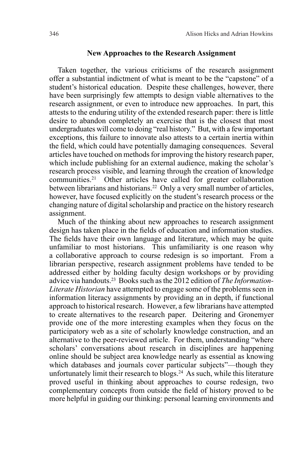#### **New Approaches to the Research Assignment**

Taken together, the various criticisms of the research assignment offer a substantial indictment of what is meant to be the "capstone" of a student's historical education. Despite these challenges, however, there have been surprisingly few attempts to design viable alternatives to the research assignment, or even to introduce new approaches. In part, this attests to the enduring utility of the extended research paper: there is little desire to abandon completely an exercise that is the closest that most undergraduates will come to doing "real history." But, with a few important exceptions, this failure to innovate also attests to a certain inertia within the field, which could have potentially damaging consequences. Several articles have touched on methods for improving the history research paper, which include publishing for an external audience, making the scholar's research process visible, and learning through the creation of knowledge communities.<sup>21</sup> Other articles have called for greater collaboration between librarians and historians.22 Only a very small number of articles, however, have focused explicitly on the student's research process or the changing nature of digital scholarship and practice on the history research assignment.

Much of the thinking about new approaches to research assignment design has taken place in the fields of education and information studies. The fields have their own language and literature, which may be quite unfamiliar to most historians. This unfamiliarity is one reason why a collaborative approach to course redesign is so important. From a librarian perspective, research assignment problems have tended to be addressed either by holding faculty design workshops or by providing advice via handouts.23 Books such as the 2012 edition of *The Information-Literate Historian* have attempted to engage some of the problems seen in information literacy assignments by providing an in depth, if functional approach to historical research. However, a few librarians have attempted to create alternatives to the research paper. Deitering and Gronemyer provide one of the more interesting examples when they focus on the participatory web as a site of scholarly knowledge construction, and an alternative to the peer-reviewed article. For them, understanding "where scholars' conversations about research in disciplines are happening online should be subject area knowledge nearly as essential as knowing which databases and journals cover particular subjects"—though they unfortunately limit their research to blogs.<sup>24</sup> As such, while this literature proved useful in thinking about approaches to course redesign, two complementary concepts from outside the field of history proved to be more helpful in guiding our thinking: personal learning environments and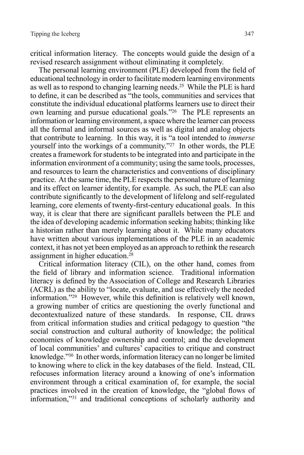critical information literacy. The concepts would guide the design of a revised research assignment without eliminating it completely.

The personal learning environment (PLE) developed from the field of educational technology in order to facilitate modern learning environments as well as to respond to changing learning needs.25 While the PLE is hard to define, it can be described as "the tools, communities and services that constitute the individual educational platforms learners use to direct their own learning and pursue educational goals."26 The PLE represents an information or learning environment, a space where the learner can process all the formal and informal sources as well as digital and analog objects that contribute to learning. In this way, it is "a tool intended to *immerse* yourself into the workings of a community."27 In other words, the PLE creates a framework for students to be integrated into and participate in the information environment of a community; using the same tools, processes, and resources to learn the characteristics and conventions of disciplinary practice. At the same time, the PLE respects the personal nature of learning and its effect on learner identity, for example. As such, the PLE can also contribute significantly to the development of lifelong and self-regulated learning, core elements of twenty-first-century educational goals. In this way, it is clear that there are significant parallels between the PLE and the idea of developing academic information seeking habits; thinking like a historian rather than merely learning about it. While many educators have written about various implementations of the PLE in an academic context, it has not yet been employed as an approach to rethink the research assignment in higher education.28

Critical information literacy (CIL), on the other hand, comes from the field of library and information science. Traditional information literacy is defined by the Association of College and Research Libraries (ACRL) as the ability to "locate, evaluate, and use effectively the needed information."29 However, while this definition is relatively well known, a growing number of critics are questioning the overly functional and decontextualized nature of these standards. In response, CIL draws from critical information studies and critical pedagogy to question "the social construction and cultural authority of knowledge; the political economies of knowledge ownership and control; and the development of local communities' and cultures' capacities to critique and construct knowledge."30 In other words, information literacy can no longer be limited to knowing where to click in the key databases of the field. Instead, CIL refocuses information literacy around a knowing of one's information environment through a critical examination of, for example, the social practices involved in the creation of knowledge, the "global flows of information,"31 and traditional conceptions of scholarly authority and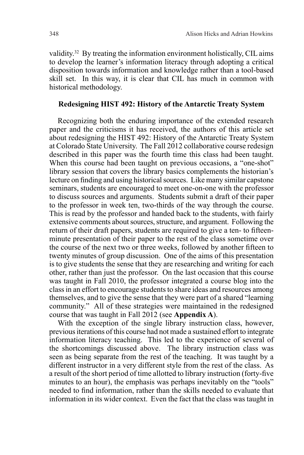validity.32 By treating the information environment holistically, CIL aims to develop the learner's information literacy through adopting a critical disposition towards information and knowledge rather than a tool-based skill set. In this way, it is clear that CIL has much in common with historical methodology.

## **Redesigning HIST 492: History of the Antarctic Treaty System**

Recognizing both the enduring importance of the extended research paper and the criticisms it has received, the authors of this article set about redesigning the HIST 492: History of the Antarctic Treaty System at Colorado State University. The Fall 2012 collaborative course redesign described in this paper was the fourth time this class had been taught. When this course had been taught on previous occasions, a "one-shot" library session that covers the library basics complements the historian's lecture on finding and using historical sources. Like many similar capstone seminars, students are encouraged to meet one-on-one with the professor to discuss sources and arguments. Students submit a draft of their paper to the professor in week ten, two-thirds of the way through the course. This is read by the professor and handed back to the students, with fairly extensive comments about sources, structure, and argument. Following the return of their draft papers, students are required to give a ten- to fifteenminute presentation of their paper to the rest of the class sometime over the course of the next two or three weeks, followed by another fifteen to twenty minutes of group discussion. One of the aims of this presentation is to give students the sense that they are researching and writing for each other, rather than just the professor. On the last occasion that this course was taught in Fall 2010, the professor integrated a course blog into the class in an effort to encourage students to share ideas and resources among themselves, and to give the sense that they were part of a shared "learning community." All of these strategies were maintained in the redesigned course that was taught in Fall 2012 (see **Appendix A**).

With the exception of the single library instruction class, however, previous iterations of this course had not made a sustained effort to integrate information literacy teaching. This led to the experience of several of the shortcomings discussed above. The library instruction class was seen as being separate from the rest of the teaching. It was taught by a different instructor in a very different style from the rest of the class. As a result of the short period of time allotted to library instruction (forty-five minutes to an hour), the emphasis was perhaps inevitably on the "tools" needed to find information, rather than the skills needed to evaluate that information in its wider context. Even the fact that the class was taught in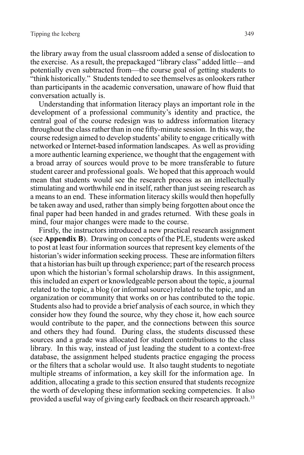the library away from the usual classroom added a sense of dislocation to the exercise. As a result, the prepackaged "library class" added little—and potentially even subtracted from—the course goal of getting students to "think historically." Students tended to see themselves as onlookers rather than participants in the academic conversation, unaware of how fluid that conversation actually is.

Understanding that information literacy plays an important role in the development of a professional community's identity and practice, the central goal of the course redesign was to address information literacy throughout the class rather than in one fifty-minute session. In this way, the course redesign aimed to develop students' ability to engage critically with networked or Internet-based information landscapes. As well as providing a more authentic learning experience, we thought that the engagement with a broad array of sources would prove to be more transferable to future student career and professional goals. We hoped that this approach would mean that students would see the research process as an intellectually stimulating and worthwhile end in itself, rather than just seeing research as a means to an end. These information literacy skills would then hopefully be taken away and used, rather than simply being forgotten about once the final paper had been handed in and grades returned. With these goals in mind, four major changes were made to the course.

Firstly, the instructors introduced a new practical research assignment (see **Appendix B**). Drawing on concepts of the PLE, students were asked to post at least four information sources that represent key elements of the historian's wider information seeking process. These are information filters that a historian has built up through experience; part of the research process upon which the historian's formal scholarship draws. In this assignment, this included an expert or knowledgeable person about the topic, a journal related to the topic, a blog (or informal source) related to the topic, and an organization or community that works on or has contributed to the topic. Students also had to provide a brief analysis of each source, in which they consider how they found the source, why they chose it, how each source would contribute to the paper, and the connections between this source and others they had found. During class, the students discussed these sources and a grade was allocated for student contributions to the class library. In this way, instead of just leading the student to a context-free database, the assignment helped students practice engaging the process or the filters that a scholar would use. It also taught students to negotiate multiple streams of information, a key skill for the information age. In addition, allocating a grade to this section ensured that students recognize the worth of developing these information seeking competencies. It also provided a useful way of giving early feedback on their research approach.<sup>33</sup>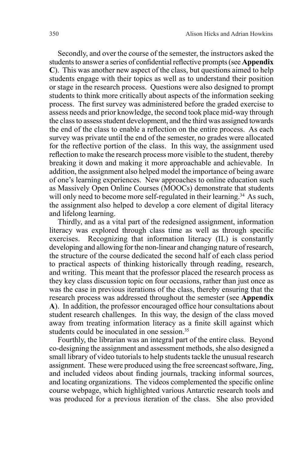Secondly, and over the course of the semester, the instructors asked the students to answer a series of confidential reflective prompts (see **Appendix C**). This was another new aspect of the class, but questions aimed to help students engage with their topics as well as to understand their position or stage in the research process. Questions were also designed to prompt students to think more critically about aspects of the information seeking process. The first survey was administered before the graded exercise to assess needs and prior knowledge, the second took place mid-way through the class to assess student development, and the third was assigned towards the end of the class to enable a reflection on the entire process. As each survey was private until the end of the semester, no grades were allocated for the reflective portion of the class. In this way, the assignment used reflection to make the research process more visible to the student, thereby breaking it down and making it more approachable and achievable. In addition, the assignment also helped model the importance of being aware of one's learning experiences. New approaches to online education such as Massively Open Online Courses (MOOCs) demonstrate that students will only need to become more self-regulated in their learning.<sup>34</sup> As such, the assignment also helped to develop a core element of digital literacy and lifelong learning.

Thirdly, and as a vital part of the redesigned assignment, information literacy was explored through class time as well as through specific exercises. Recognizing that information literacy (IL) is constantly developing and allowing for the non-linear and changing nature of research, the structure of the course dedicated the second half of each class period to practical aspects of thinking historically through reading, research, and writing. This meant that the professor placed the research process as they key class discussion topic on four occasions, rather than just once as was the case in previous iterations of the class, thereby ensuring that the research process was addressed throughout the semester (see **Appendix A**). In addition, the professor encouraged office hour consultations about student research challenges. In this way, the design of the class moved away from treating information literacy as a finite skill against which students could be inoculated in one session.<sup>35</sup>

Fourthly, the librarian was an integral part of the entire class. Beyond co-designing the assignment and assessment methods, she also designed a small library of video tutorials to help students tackle the unusual research assignment. These were produced using the free screencast software, Jing, and included videos about finding journals, tracking informal sources, and locating organizations. The videos complemented the specific online course webpage, which highlighted various Antarctic research tools and was produced for a previous iteration of the class. She also provided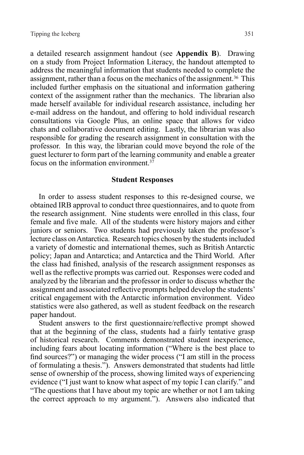a detailed research assignment handout (see **Appendix B**). Drawing on a study from Project Information Literacy, the handout attempted to address the meaningful information that students needed to complete the assignment, rather than a focus on the mechanics of the assignment.<sup>36</sup> This included further emphasis on the situational and information gathering context of the assignment rather than the mechanics. The librarian also made herself available for individual research assistance, including her e-mail address on the handout, and offering to hold individual research consultations via Google Plus, an online space that allows for video chats and collaborative document editing. Lastly, the librarian was also responsible for grading the research assignment in consultation with the professor. In this way, the librarian could move beyond the role of the guest lecturer to form part of the learning community and enable a greater focus on the information environment.37

### **Student Responses**

In order to assess student responses to this re-designed course, we obtained IRB approval to conduct three questionnaires, and to quote from the research assignment. Nine students were enrolled in this class, four female and five male. All of the students were history majors and either juniors or seniors. Two students had previously taken the professor's lecture class on Antarctica. Research topics chosen by the students included a variety of domestic and international themes, such as British Antarctic policy; Japan and Antarctica; and Antarctica and the Third World. After the class had finished, analysis of the research assignment responses as well as the reflective prompts was carried out. Responses were coded and analyzed by the librarian and the professor in order to discuss whether the assignment and associated reflective prompts helped develop the students' critical engagement with the Antarctic information environment. Video statistics were also gathered, as well as student feedback on the research paper handout.

Student answers to the first questionnaire/reflective prompt showed that at the beginning of the class, students had a fairly tentative grasp of historical research. Comments demonstrated student inexperience, including fears about locating information ("Where is the best place to find sources?") or managing the wider process ("I am still in the process of formulating a thesis."). Answers demonstrated that students had little sense of ownership of the process, showing limited ways of experiencing evidence ("I just want to know what aspect of my topic I can clarify." and "The questions that I have about my topic are whether or not I am taking the correct approach to my argument."). Answers also indicated that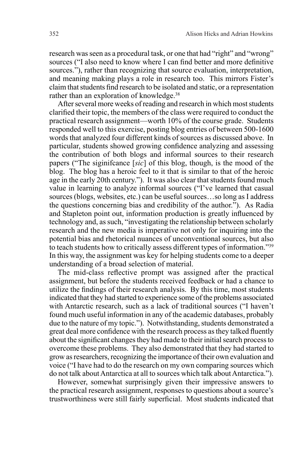research was seen as a procedural task, or one that had "right" and "wrong" sources ("I also need to know where I can find better and more definitive sources."), rather than recognizing that source evaluation, interpretation, and meaning making plays a role in research too. This mirrors Fister's claim that students find research to be isolated and static, or a representation rather than an exploration of knowledge.<sup>38</sup>

After several more weeks of reading and research in which most students clarified their topic, the members of the class were required to conduct the practical research assignment—worth 10% of the course grade. Students responded well to this exercise, posting blog entries of between 500-1600 words that analyzed four different kinds of sources as discussed above. In particular, students showed growing confidence analyzing and assessing the contribution of both blogs and informal sources to their research papers ("The siginifcance [*sic*] of this blog, though, is the mood of the blog. The blog has a heroic feel to it that is similar to that of the heroic age in the early 20th century."). It was also clear that students found much value in learning to analyze informal sources ("I've learned that casual sources (blogs, websites, etc.) can be useful sources…so long as I address the questions concerning bias and credibility of the author."). As Radia and Stapleton point out, information production is greatly influenced by technology and, as such, "investigating the relationship between scholarly research and the new media is imperative not only for inquiring into the potential bias and rhetorical nuances of unconventional sources, but also to teach students how to critically assess different types of information."39 In this way, the assignment was key for helping students come to a deeper understanding of a broad selection of material.

The mid-class reflective prompt was assigned after the practical assignment, but before the students received feedback or had a chance to utilize the findings of their research analysis. By this time, most students indicated that they had started to experience some of the problems associated with Antarctic research, such as a lack of traditional sources ("I haven't found much useful information in any of the academic databases, probably due to the nature of my topic."). Notwithstanding, students demonstrated a great deal more confidence with the research process as they talked fluently about the significant changes they had made to their initial search process to overcome these problems. They also demonstrated that they had started to grow as researchers, recognizing the importance of their own evaluation and voice ("I have had to do the research on my own comparing sources which do not talk about Antarctica at all to sources which talk about Antarctica.").

However, somewhat surprisingly given their impressive answers to the practical research assignment, responses to questions about a source's trustworthiness were still fairly superficial. Most students indicated that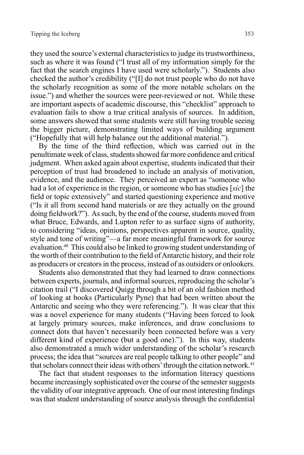they used the source's external characteristics to judge its trustworthiness, such as where it was found ("I trust all of my information simply for the fact that the search engines I have used were scholarly."). Students also checked the author's credibility ("[I] do not trust people who do not have the scholarly recognition as some of the more notable scholars on the issue.") and whether the sources were peer-reviewed or not. While these are important aspects of academic discourse, this "checklist" approach to evaluation fails to show a true critical analysis of sources. In addition, some answers showed that some students were still having trouble seeing the bigger picture, demonstrating limited ways of building argument ("Hopefully that will help balance out the additional material.").

By the time of the third reflection, which was carried out in the penultimate week of class, students showed far more confidence and critical judgment. When asked again about expertise, students indicated that their perception of trust had broadened to include an analysis of motivation, evidence, and the audience. They perceived an expert as "someone who had a lot of experience in the region, or someone who has studies [*sic*] the field or topic extensively" and started questioning experience and motive ("Is it all from second hand materials or are they actually on the ground doing fieldwork?"). As such, by the end of the course, students moved from what Bruce, Edwards, and Lupton refer to as surface signs of authority, to considering "ideas, opinions, perspectives apparent in source, quality, style and tone of writing"—a far more meaningful framework for source evaluation.40 This could also be linked to growing student understanding of the worth of their contribution to the field of Antarctic history, and their role as producers or creators in the process, instead of as outsiders or onlookers.

Students also demonstrated that they had learned to draw connections between experts, journals, and informal sources, reproducing the scholar's citation trail ("I discovered Quigg through a bit of an old fashion method of looking at books (Particularly Pyne) that had been written about the Antarctic and seeing who they were referencing."). It was clear that this was a novel experience for many students ("Having been forced to look at largely primary sources, make inferences, and draw conclusions to connect dots that haven't necessarily been connected before was a very different kind of experience (but a good one)."). In this way, students also demonstrated a much wider understanding of the scholar's research process; the idea that "sources are real people talking to other people" and that scholars connect their ideas with others' through the citation network.<sup>41</sup>

The fact that student responses to the information literacy questions became increasingly sophisticated over the course of the semester suggests the validity of our integrative approach. One of our most interesting findings was that student understanding of source analysis through the confidential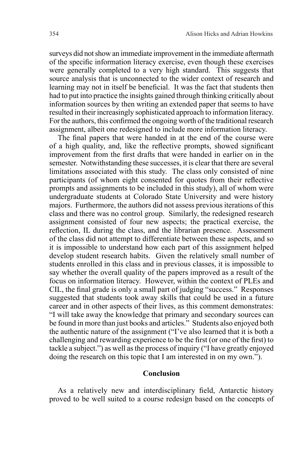surveys did not show an immediate improvement in the immediate aftermath of the specific information literacy exercise, even though these exercises were generally completed to a very high standard. This suggests that source analysis that is unconnected to the wider context of research and learning may not in itself be beneficial. It was the fact that students then had to put into practice the insights gained through thinking critically about information sources by then writing an extended paper that seems to have resulted in their increasingly sophisticated approach to information literacy. For the authors, this confirmed the ongoing worth of the traditional research assignment, albeit one redesigned to include more information literacy.

The final papers that were handed in at the end of the course were of a high quality, and, like the reflective prompts, showed significant improvement from the first drafts that were handed in earlier on in the semester. Notwithstanding these successes, it is clear that there are several limitations associated with this study. The class only consisted of nine participants (of whom eight consented for quotes from their reflective prompts and assignments to be included in this study), all of whom were undergraduate students at Colorado State University and were history majors. Furthermore, the authors did not assess previous iterations of this class and there was no control group. Similarly, the redesigned research assignment consisted of four new aspects; the practical exercise, the reflection, IL during the class, and the librarian presence. Assessment of the class did not attempt to differentiate between these aspects, and so it is impossible to understand how each part of this assignment helped develop student research habits. Given the relatively small number of students enrolled in this class and in previous classes, it is impossible to say whether the overall quality of the papers improved as a result of the focus on information literacy. However, within the context of PLEs and CIL, the final grade is only a small part of judging "success." Responses suggested that students took away skills that could be used in a future career and in other aspects of their lives, as this comment demonstrates: "I will take away the knowledge that primary and secondary sources can be found in more than just books and articles." Students also enjoyed both the authentic nature of the assignment ("I've also learned that it is both a challenging and rewarding experience to be the first (or one of the first) to tackle a subject.") as well as the process of inquiry ("I have greatly enjoyed doing the research on this topic that I am interested in on my own.").

# **Conclusion**

As a relatively new and interdisciplinary field, Antarctic history proved to be well suited to a course redesign based on the concepts of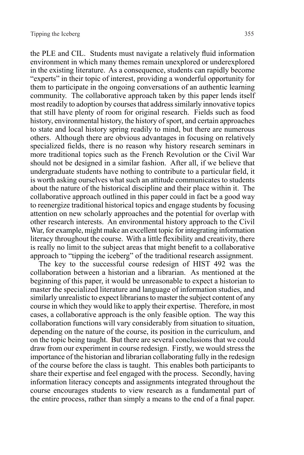the PLE and CIL. Students must navigate a relatively fluid information environment in which many themes remain unexplored or underexplored in the existing literature. As a consequence, students can rapidly become "experts" in their topic of interest, providing a wonderful opportunity for them to participate in the ongoing conversations of an authentic learning community. The collaborative approach taken by this paper lends itself most readily to adoption by courses that address similarly innovative topics that still have plenty of room for original research. Fields such as food history, environmental history, the history of sport, and certain approaches to state and local history spring readily to mind, but there are numerous others. Although there are obvious advantages in focusing on relatively specialized fields, there is no reason why history research seminars in more traditional topics such as the French Revolution or the Civil War should not be designed in a similar fashion. After all, if we believe that undergraduate students have nothing to contribute to a particular field, it is worth asking ourselves what such an attitude communicates to students about the nature of the historical discipline and their place within it. The collaborative approach outlined in this paper could in fact be a good way to reenergize traditional historical topics and engage students by focusing attention on new scholarly approaches and the potential for overlap with other research interests. An environmental history approach to the Civil War, for example, might make an excellent topic for integrating information literacy throughout the course. With a little flexibility and creativity, there is really no limit to the subject areas that might benefit to a collaborative approach to "tipping the iceberg" of the traditional research assignment.

The key to the successful course redesign of HIST 492 was the collaboration between a historian and a librarian. As mentioned at the beginning of this paper, it would be unreasonable to expect a historian to master the specialized literature and language of information studies, and similarly unrealistic to expect librarians to master the subject content of any course in which they would like to apply their expertise. Therefore, in most cases, a collaborative approach is the only feasible option. The way this collaboration functions will vary considerably from situation to situation, depending on the nature of the course, its position in the curriculum, and on the topic being taught. But there are several conclusions that we could draw from our experiment in course redesign. Firstly, we would stress the importance of the historian and librarian collaborating fully in the redesign of the course before the class is taught. This enables both participants to share their expertise and feel engaged with the process. Secondly, having information literacy concepts and assignments integrated throughout the course encourages students to view research as a fundamental part of the entire process, rather than simply a means to the end of a final paper.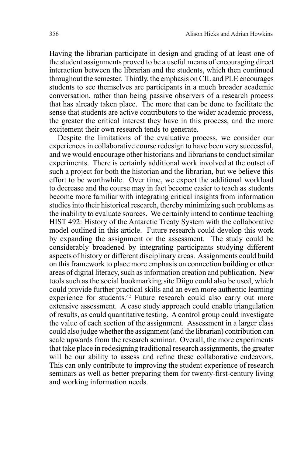Having the librarian participate in design and grading of at least one of the student assignments proved to be a useful means of encouraging direct interaction between the librarian and the students, which then continued throughout the semester. Thirdly, the emphasis on CIL and PLE encourages students to see themselves are participants in a much broader academic conversation, rather than being passive observers of a research process that has already taken place. The more that can be done to facilitate the sense that students are active contributors to the wider academic process, the greater the critical interest they have in this process, and the more excitement their own research tends to generate.

Despite the limitations of the evaluative process, we consider our experiences in collaborative course redesign to have been very successful, and we would encourage other historians and librarians to conduct similar experiments. There is certainly additional work involved at the outset of such a project for both the historian and the librarian, but we believe this effort to be worthwhile. Over time, we expect the additional workload to decrease and the course may in fact become easier to teach as students become more familiar with integrating critical insights from information studies into their historical research, thereby minimizing such problems as the inability to evaluate sources. We certainly intend to continue teaching HIST 492: History of the Antarctic Treaty System with the collaborative model outlined in this article. Future research could develop this work by expanding the assignment or the assessment. The study could be considerably broadened by integrating participants studying different aspects of history or different disciplinary areas. Assignments could build on this framework to place more emphasis on connection building or other areas of digital literacy, such as information creation and publication. New tools such as the social bookmarking site Diigo could also be used, which could provide further practical skills and an even more authentic learning experience for students.<sup>42</sup> Future research could also carry out more extensive assessment. A case study approach could enable triangulation of results, as could quantitative testing. A control group could investigate the value of each section of the assignment. Assessment in a larger class could also judge whether the assignment (and the librarian) contribution can scale upwards from the research seminar. Overall, the more experiments that take place in redesigning traditional research assignments, the greater will be our ability to assess and refine these collaborative endeavors. This can only contribute to improving the student experience of research seminars as well as better preparing them for twenty-first-century living and working information needs.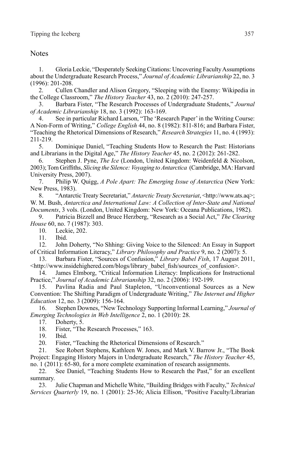# **Notes**

1. Gloria Leckie, "Desperately Seeking Citations: Uncovering Faculty Assumptions about the Undergraduate Research Process," *Journal of Academic Librarianship* 22, no. 3 (1996): 201-208.

2. Cullen Chandler and Alison Gregory, "Sleeping with the Enemy: Wikipedia in the College Classroom," *The History Teacher* 43, no. 2 (2010): 247-257.

3. Barbara Fister, "The Research Processes of Undergraduate Students," *Journal of Academic Librarianship* 18, no. 3 (1992): 163-169.

4. See in particular Richard Larson, "The 'Research Paper' in the Writing Course: A Non-Form of Writing," *College English* 44, no. 8 (1982): 811-816; and Barbara Fister, "Teaching the Rhetorical Dimensions of Research," *Research Strategies* 11, no. 4 (1993): 211-219.

5. Dominique Daniel, "Teaching Students How to Research the Past: Historians and Librarians in the Digital Age," *The History Teacher* 45, no. 2 (2012): 261-282.

6. Stephen J. Pyne, *The Ice* (London, United Kingdom: Weidenfeld & Nicolson, 2003); Tom Griffiths, *Slicing the Silence: Voyaging to Antarctica* (Cambridge, MA: Harvard University Press, 2007).

7. Philip W. Quigg, *A Pole Apart: The Emerging Issue of Antarctica* (New York: New Press, 1983).

8. "Antarctic Treaty Secretariat," *Antarctic Treaty Secretariat*, <http://www.ats.aq>; W. M. Bush, *Antarctica and International Law: A Collection of Inter-State and National Documents*, 3 vols. (London, United Kingdom: New York: Oceana Publications, 1982).

9. Patricia Bizzell and Bruce Herzberg, "Research as a Social Act," *The Clearing House* 60, no. 7 (1987): 303.

10. Leckie, 202.

11. Ibid.

12. John Doherty, "No Shhing: Giving Voice to the Silenced: An Essay in Support of Critical Information Literacy," *Library Philosophy and Practice* 9, no. 2 (2007): 5.

13. Barbara Fister, "Sources of Confusion," *Library Babel Fish*, 17 August 2011, <http://www.insidehighered.com/blogs/library\_babel\_fish/sources\_of\_confusion>.

14. James Elmborg, "Critical Information Literacy: Implications for Instructional Practice," *Journal of Academic Librarianship* 32, no. 2 (2006): 192-199.

15. Pavlina Radia and Paul Stapleton, "Unconventional Sources as a New Convention: The Shifting Paradigm of Undergraduate Writing," *The Internet and Higher Education* 12, no. 3 (2009): 156-164.

16. Stephen Downes, "New Technology Supporting Informal Learning," *Journal of Emerging Technologies in Web Intelligence* 2, no. 1 (2010): 28.

17. Doherty, 5.<br>18. Fister. "The

18. Fister, "The Research Processes," 163.<br>19. Ibid.

Ibid.

20. Fister, "Teaching the Rhetorical Dimensions of Research."

21. See Robert Stephens, Kathleen W. Jones, and Mark V. Barrow Jr., "The Book Project: Engaging History Majors in Undergraduate Research," *The History Teacher* 45, no. 1 (2011): 65-80, for a more complete examination of research assignments.

22. See Daniel, "Teaching Students How to Research the Past," for an excellent summary.

23. Julie Chapman and Michelle White, "Building Bridges with Faculty," *Technical Services Quarterly* 19, no. 1 (2001): 25-36; Alicia Ellison, "Positive Faculty/Librarian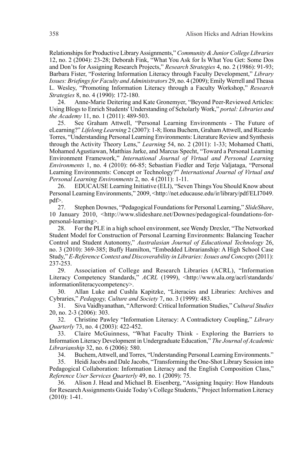Relationships for Productive Library Assignments," *Community & Junior College Libraries* 12, no. 2 (2004): 23-28; Deborah Fink, "What You Ask for Is What You Get: Some Dos and Don'ts for Assigning Research Projects," *Research Strategies* 4, no. 2 (1986): 91-93; Barbara Fister, "Fostering Information Literacy through Faculty Development," *Library Issues: Briefings for Faculty and Administrators* 29, no. 4 (2009); Emily Werrell and Theasa L. Wesley, "Promoting Information Literacy through a Faculty Workshop," *Research Strategies* 8, no. 4 (1990): 172-180.

24. Anne-Marie Deitering and Kate Gronemyer, "Beyond Peer-Reviewed Articles: Using Blogs to Enrich Students' Understanding of Scholarly Work," *portal: Libraries and the Academy* 11, no. 1 (2011): 489-503.

25. See Graham Attwell, "Personal Learning Environments - The Future of eLearning?" *Lifelong Learning* 2 (2007): 1-8; Ilona Buchem, Graham Attwell, and Ricardo Torres, "Understanding Personal Learning Environments: Literature Review and Synthesis through the Activity Theory Lens," *Learning* 54, no. 2 (2011): 1-33; Mohamed Chatti, Mohamed Agustiawan, Matthias Jarke, and Marcus Specht, "Toward a Personal Learning Environment Framework," *International Journal of Virtual and Personal Learning Environments* 1, no. 4 (2010): 66-85; Sebastian Fiedler and Terje Valjataga, "Personal Learning Environments: Concept or Technology?" *International Journal of Virtual and Personal Learning Environments* 2, no. 4 (2011): 1-11.

26. EDUCAUSE Learning Initiative (ELI), "Seven Things You Should Know about Personal Learning Environments," 2009, <http://net.educause.edu/ir/library/pdf/ELI7049. pdf>.

27. Stephen Downes, "Pedagogical Foundations for Personal Learning," *SlideShare*, 10 January 2010, <http://www.slideshare.net/Downes/pedagogical-foundations-forpersonal-learning>.

28. For the PLE in a high school environment, see Wendy Drexler, "The Networked Student Model for Construction of Personal Learning Environments: Balancing Teacher Control and Student Autonomy," *Australasian Journal of Educational Technology* 26, no. 3 (2010): 369-385; Buffy Hamilton, "Embedded Librarianship: A High School Case Study," *E-Reference Context and Discoverability in Libraries: Issues and Concepts* (2011): 237-253.

29. Association of College and Research Libraries (ACRL), "Information Literacy Competency Standards," *ACRL* (1999), <http://www.ala.org/acrl/standards/ informationliteracycompetency>.

30. Allan Luke and Cushla Kapitzke, "Literacies and Libraries: Archives and Cybraries," *Pedagogy, Culture and Society* 7, no. 3 (1999): 483.

31. Siva Vaidhyanathan, "Afterword: Critical Information Studies," *Cultural Studies* 20, no. 2-3 (2006): 303.

32. Christine Pawley "Information Literacy: A Contradictory Coupling," *Library Quarterly* 73, no. 4 (2003): 422-452.

33. Claire McGuinness, "What Faculty Think - Exploring the Barriers to Information Literacy Development in Undergraduate Education," *The Journal of Academic Librarianship* 32, no. 6 (2006): 580.

34. Buchem, Attwell, and Torres, "Understanding Personal Learning Environments."<br>35. Heidi Jacobs and Dale Jacobs, "Transforming the One-Shot Library Session into

35. Heidi Jacobs and Dale Jacobs, "Transforming the One-Shot Library Session into Pedagogical Collaboration: Information Literacy and the English Composition Class," *Reference User Services Quarterly* 49, no. 1 (2009): 75.

36. Alison J. Head and Michael B. Eisenberg, "Assigning Inquiry: How Handouts for Research Assignments Guide Today's College Students," Project Information Literacy (2010): 1-41.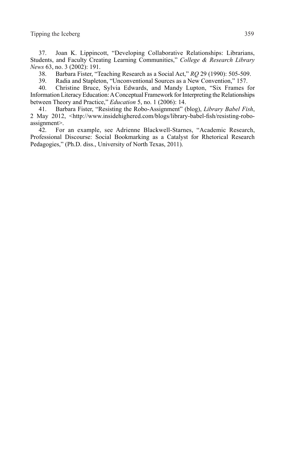37. Joan K. Lippincott, "Developing Collaborative Relationships: Librarians, Students, and Faculty Creating Learning Communities," *College & Research Library News* 63, no. 3 (2002): 191.

38. Barbara Fister, "Teaching Research as a Social Act," *RQ* 29 (1990): 505-509.

Radia and Stapleton, "Unconventional Sources as a New Convention," 157.

40. Christine Bruce, Sylvia Edwards, and Mandy Lupton, "Six Frames for Information Literacy Education: A Conceptual Framework for Interpreting the Relationships between Theory and Practice," *Education* 5, no. 1 (2006): 14.

41. Barbara Fister, "Resisting the Robo-Assignment" (blog), *Library Babel Fish*, 2 May 2012, <http://www.insidehighered.com/blogs/library-babel-fish/resisting-roboassignment>.<br>42. For

42. For an example, see Adrienne Blackwell-Starnes, "Academic Research, Professional Discourse: Social Bookmarking as a Catalyst for Rhetorical Research Pedagogies," (Ph.D. diss., University of North Texas, 2011).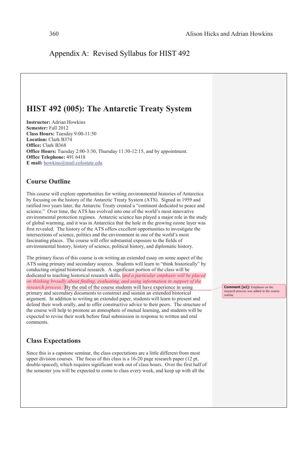# Appendix A: Revised Syllabus for HIST 492

# **HIST 492 (005): The Antarctic Treaty System**

**Instructor:** Adrian Howkins **Semester:** Fall 2012 **Class Hours:** Tuesday 9:00-11:50 **Location:** Clark B374 **Office:** Clark B368 **Office Hours:** Tuesday 2:00-3:30, Thursday 11:30-12:15, and by appointment. **Office Telephone:** 491 6418 **E mail:** howkins@mail.colostate.edu

#### **Course Outline**

This course will explore opportunities for writing environmental histories of Antarctica by focusing on the history of the Antarctic Treaty System (ATS). Signed in 1959 and ratified two years later, the Antarctic Treaty created a "continent dedicated to peace and science." Over time, the ATS has evolved into one of the world's most innovative environmental protection regimes. Antarctic science has played a major role in the study of global warming, and it was in Antarctica that the hole in the growing ozone layer was first revealed. The history of the ATS offers excellent opportunities to investigate the intersections of science, politics and the environment in one of the world's most fascinating places. The course will offer substantial exposure to the fields of environmental history, history of science, political history, and diplomatic history.

The primary focus of this course is on writing an extended essay on some aspect of the ATS using primary and secondary sources. Students will learn to "think historically" by conducting original historical research. A significant portion of the class will be dedicated to teaching historical research skills, *and a particular emphasis will be placed on thinking broadly about finding, evaluating, and using information in support of the research process.* By the end of the course students will have experience in using primary and secondary documents to construct and sustain an extended historical argument. In addition to writing an extended paper, students will learn to present and defend their work orally, and to offer constructive advice to their peers. The structure of the course will help to promote an atmosphere of mutual learning, and students will be expected to revise their work before final submission in response to written and oral comments.

#### **Class Expectations**

Since this is a capstone seminar, the class expectations are a little different from most upper division courses. The focus of this class is a 16-20 page research paper (12 pt, double-spaced), which requires significant work out of class hours. Over the first half of the semester you will be expected to come to class every week, and keep up with all the

**Comment [a1]:** Emphasis on the research process was added in the course outline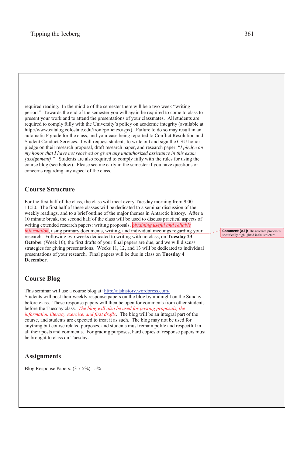required reading. In the middle of the semester there will be a two week "writing period." Towards the end of the semester you will again be required to come to class to present your work and to attend the presentations of your classmates. All students are required to comply fully with the University's policy on academic integrity (available at http://www.catalog.colostate.edu/front/policies.aspx). Failure to do so may result in an automatic F grade for the class, and your case being reported to Conflict Resolution and Student Conduct Services. I will request students to write out and sign the CSU honor pledge on their research proposal, draft research paper, and research paper: "*I pledge on my honor that I have not received or given any unauthorized assistance in this exam [assignment].*" Students are also required to comply fully with the rules for using the course blog (see below). Please see me early in the semester if you have questions or concerns regarding any aspect of the class.

### **Course Structure**

For the first half of the class, the class will meet every Tuesday morning from 9.00 – 11:50. The first half of these classes will be dedicated to a seminar discussion of the weekly readings, and to a brief outline of the major themes in Antarctic history. After a 10 minute break, the second half of the class will be used to discuss practical aspects of writing extended research papers: writing proposals, *obtaining useful and reliable information*, using primary documents, writing, and individual meetings regarding your research. Following two weeks dedicated to writing with no class, on **Tuesday 23 October** (Week 10), the first drafts of your final papers are due, and we will discuss strategies for giving presentations. Weeks 11, 12, and 13 will be dedicated to individual presentations of your research. Final papers will be due in class on **Tuesday 4 December**.

#### **Course Blog**

This seminar will use a course blog at: http://atshistory.wordpress.com/ Students will post their weekly response papers on the blog by midnight on the Sunday before class. These response papers will then be open for comments from other students before the Tuesday class. *The blog will also be used for posting proposals, the information literacy exercise, and first drafts*. The blog will be an integral part of the course, and students are expected to treat it as such. The blog may not be used for anything but course related purposes, and students must remain polite and respectful in all their posts and comments. For grading purposes, hard copies of response papers must be brought to class on Tuesday.

#### **Assignments**

Blog Response Papers: (3 x 5%) 15%

**Comment [a2]:** The research process is specifically highlighted in the structure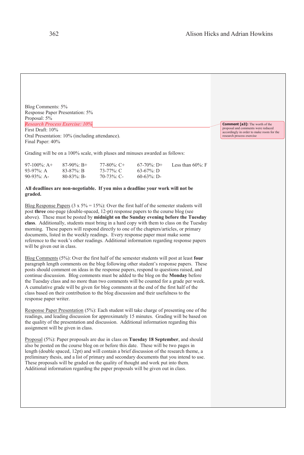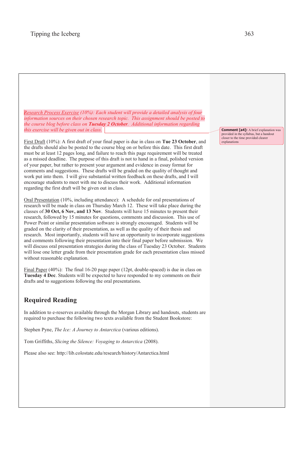*Research Process Exercise (10%): Each student will provide a detailed analysis of four information sources on their chosen research topic. This assignment should be posted to the course blog before class on Tuesday 2 October. Additional information regarding this exercise will be given out in class.* 

First Draft (10%): A first draft of your final paper is due in class on **Tue 23 October**, and the drafts should also be posted to the course blog on or before this date. This first draft must be at least 12 pages long, and failure to reach this page requirement will be treated as a missed deadline. The purpose of this draft is not to hand in a final, polished version of your paper, but rather to present your argument and evidence in essay format for comments and suggestions. These drafts will be graded on the quality of thought and work put into them. I will give substantial written feedback on these drafts, and I will encourage students to meet with me to discuss their work. Additional information regarding the first draft will be given out in class.

Oral Presentation (10%, including attendance): A schedule for oral presentations of research will be made in class on Thursday March 12. These will take place during the classes of **30 Oct, 6 Nov, and 13 Nov**. Students will have 15 minutes to present their research, followed by 15 minutes for questions, comments and discussion. This use of Power Point or similar presentation software is strongly encouraged. Students will be graded on the clarity of their presentation, as well as the quality of their thesis and research. Most importantly, students will have an opportunity to incorporate suggestions and comments following their presentation into their final paper before submission. We will discuss oral presentation strategies during the class of Tuesday 23 October. Students will lose one letter grade from their presentation grade for each presentation class missed without reasonable explanation.

Final Paper (40%): The final 16-20 page paper (12pt, double-spaced) is due in class on **Tuesday 4 Dec**. Students will be expected to have responded to my comments on their drafts and to suggestions following the oral presentations.

#### **Required Reading**

In addition to e-reserves available through the Morgan Library and handouts, students are required to purchase the following two texts available from the Student Bookstore:

Stephen Pyne, *The Ice: A Journey to Antarctica* (various editions).

Tom Griffiths, *Slicing the Silence: Voyaging to Antarctica* (2008).

Please also see: http://lib.colostate.edu/research/history/Antarctica.html

**Comment [a4]:** A brief explanation was provided in the syllabus, but a handout closer to the time provided clearer explanations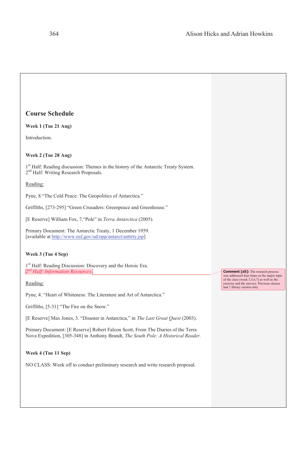# **Course Schedule**

**Week 1 (Tue 21 Aug)** 

Introduction.

#### **Week 2 (Tue 28 Aug)**

1<sup>st</sup> Half: Reading discussion: Themes in the history of the Antarctic Treaty System. 2<sup>nd</sup> Half: Writing Research Proposals.

#### Reading:

Pyne, 8."The Cold Peace: The Geopolitics of Antarctica."

Griffiths, [273-295] "Green Crusaders: Greenpeace and Greenhouse."

[E Reserve] William Fox, 7."Pole" in *Terra Antarctica* (2005).

Primary Document: The Antarctic Treaty, 1 December 1959. [available at http://www.nsf.gov/od/opp/antarct/anttrty.jsp]

#### **Week 3 (Tue 4 Sep)**

1<sup>st</sup> Half: Reading Discussion: Discovery and the Heroic Era. *2nd Half: Information Resources.*

Reading:

Pyne, 4. "Heart of Whiteness: The Literature and Art of Antarctica."

Griffiths, [5-31] "The Fire on the Snow."

[E Reserve] Max Jones, 3. "Disaster in Antarctica," in *The Last Great Quest* (2003).

Primary Document: [E Reserve] Robert Falcon Scott, From The Diaries of the Terra Nova Expedition, [305-348] in Anthony Brandt, *The South Pole: A Historical Reader.*

#### **Week 4 (Tue 11 Sep)**

NO CLASS: Week off to conduct preliminary research and write research proposal.

**Comment [a5]:** The research process was addressed four times as the major topic<br>of the class (week 3,5,6,7) as well as the<br>exercise and the surveys. Previous classes had 1 library session only.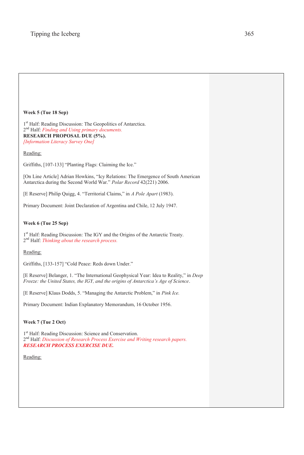#### **Week 5 (Tue 18 Sep)**

1<sup>st</sup> Half: Reading Discussion: The Geopolitics of Antarctica. 2nd Half: *Finding and Using primary documents.* **RESEARCH PROPOSAL DUE (5%).** *[Information Literacy Survey One]*

Reading:

Griffiths, [107-133] "Planting Flags: Claiming the Ice."

[On Line Article] Adrian Howkins, "Icy Relations: The Emergence of South American Antarctica during the Second World War." *Polar Record* 42(221) 2006.

[E Reserve] Philip Quigg, 4. "Territorial Claims," in *A Pole Apart* (1983).

Primary Document: Joint Declaration of Argentina and Chile, 12 July 1947.

#### **Week 6 (Tue 25 Sep)**

1<sup>st</sup> Half: Reading Discussion: The IGY and the Origins of the Antarctic Treaty. 2nd Half: *Thinking about the research process.*

#### Reading:

Griffiths, [133-157] "Cold Peace: Reds down Under."

[E Reserve] Belanger, 1. "The International Geophysical Year: Idea to Reality," in *Deep Freeze: the United States, the IGY, and the origins of Antarctica's Age of Science*.

[E Reserve] Klaus Dodds, 5. "Managing the Antarctic Problem," in *Pink Ice.* 

Primary Document: Indian Explanatory Memorandum, 16 October 1956.

#### **Week 7 (Tue 2 Oct)**

1<sup>st</sup> Half: Reading Discussion: Science and Conservation. 2nd Half: *Discussion of Research Process Exercise and Writing research papers. RESEARCH PROCESS EXERCISE DUE.*

Reading: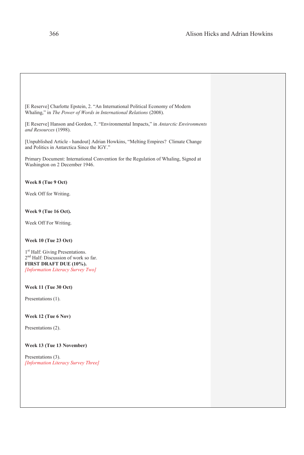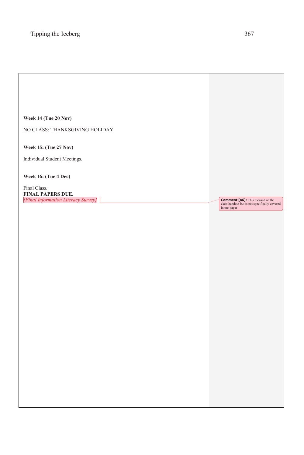**Week 14 (Tue 20 Nov)**

NO CLASS: THANKSGIVING HOLIDAY.

**Week 15: (Tue 27 Nov)**

Individual Student Meetings.

**Week 16: (Tue 4 Dec)**

Final Class. **FINAL PAPERS DUE.** *[Final Information Literacy Survey]* **Comment [a6]:** This focused on the

class handout but is not specifically covered in our paper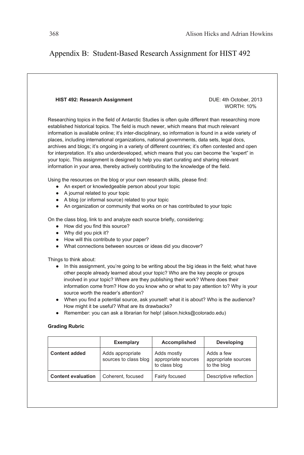# Appendix B: Student-Based Research Assignment for HIST 492

# **HIST 492: Research Assignment** DUE: 4th October, 2013 WORTH: 10% Researching topics in the field of Antarctic Studies is often quite different than researching more established historical topics. The field is much newer, which means that much relevant information is available online; it's inter-disciplinary, so information is found in a wide variety of places, including international organizations, national governments, data sets, legal docs, archives and blogs; it's ongoing in a variety of different countries; it's often contested and open for interpretation. It's also underdeveloped, which means that you can become the "expert" in your topic. This assignment is designed to help you start curating and sharing relevant information in your area, thereby actively contributing to the knowledge of the field. Using the resources on the blog or your own research skills, please find: ● An expert or knowledgeable person about your topic ● A journal related to your topic ● A blog (or informal source) related to your topic ● An organization or community that works on or has contributed to your topic On the class blog, link to and analyze each source briefly, considering: ● How did you find this source? ● Why did you pick it? ● How will this contribute to your paper? ● What connections between sources or ideas did you discover? Things to think about: ● In this assignment, you're going to be writing about the big ideas in the field; what have other people already learned about your topic? Who are the key people or groups involved in your topic? Where are they publishing their work? Where does their information come from? How do you know who or what to pay attention to? Why is your source worth the reader's attention? ● When you find a potential source, ask yourself: what it is about? Who is the audience? How might it be useful? What are its drawbacks? ● Remember: you can ask a librarian for help! (alison.hicks@colorado.edu) **Grading Rubric Exemplary Accomplished Developing Content added** Adds appropriate sources to class blog Adds mostly appropriate sources to class blog Adds a few appropriate sources to the blog **Content evaluation** Coherent, focused Fairly focused Descriptive reflection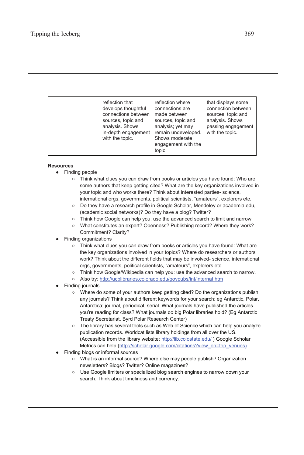|                                                            | reflection that<br>develops thoughtful<br>connections between<br>sources, topic and<br>analysis. Shows<br>in-depth engagement<br>with the topic. | reflection where<br>connections are<br>made between<br>sources, topic and<br>analysis; yet may<br>remain undeveloped.<br>Shows moderate<br>engagement with the<br>topic.                                                                                                                                                                                                                                  | that displays some<br>connection between<br>sources, topic and<br>analysis. Shows<br>passing engagement<br>with the topic.                                                                                                                                                                                                                                                                                                      |
|------------------------------------------------------------|--------------------------------------------------------------------------------------------------------------------------------------------------|-----------------------------------------------------------------------------------------------------------------------------------------------------------------------------------------------------------------------------------------------------------------------------------------------------------------------------------------------------------------------------------------------------------|---------------------------------------------------------------------------------------------------------------------------------------------------------------------------------------------------------------------------------------------------------------------------------------------------------------------------------------------------------------------------------------------------------------------------------|
| <b>Resources</b><br>Finding people<br>$\bullet$<br>$\circ$ |                                                                                                                                                  |                                                                                                                                                                                                                                                                                                                                                                                                           | Think what clues you can draw from books or articles you have found: Who are                                                                                                                                                                                                                                                                                                                                                    |
| $\circ$<br>Finding organizations                           | Commitment? Clarity?                                                                                                                             | international orgs, governments, political scientists, "amateurs", explorers etc.<br>(academic social networks)? Do they have a blog? Twitter?<br>$\circ$ Think how Google can help you: use the advanced search to limit and narrow.<br>○ What constitutes an expert? Openness? Publishing record? Where they work?<br>orgs, governments, political scientists, "amateurs", explorers etc.               | Do they have a research profile in Google Scholar, Mendeley or academia.edu,<br>$\circ$ Think what clues you can draw from books or articles you have found: What are<br>the key organizations involved in your topics? Where do researchers or authors<br>work? Think about the different fields that may be involved- science, international<br>• Think how Google/Wikipedia can help you: use the advanced search to narrow. |
| Finding journals<br>$\circ$                                | Treaty Secretariat, Byrd Polar Research Center)                                                                                                  | o Also try: http://ucblibraries.colorado.edu/govpubs/int/internat.htm<br>Antarctica; journal, periodical, serial. What journals have published the articles<br>publication records. Worldcat lists library holdings from all over the US.<br>(Accessible from the library website: http://lib.colostate.edu/) Google Scholar<br>Metrics can help (http://scholar.google.com/citations?view_op=top_venues) | Where do some of your authors keep getting cited? Do the organizations publish<br>any journals? Think about different keywords for your search: eq Antarctic, Polar,<br>you're reading for class? What journals do big Polar libraries hold? (Eg Antarctic<br>$\circ$ The library has several tools such as Web of Science which can help you analyze                                                                           |
|                                                            | Finding blogs or informal sources<br>newsletters? Blogs? Twitter? Online magazines?<br>search. Think about timeliness and currency.              | $\circ$ What is an informal source? Where else may people publish? Organization<br>○ Use Google limiters or specialized blog search engines to narrow down your                                                                                                                                                                                                                                           |                                                                                                                                                                                                                                                                                                                                                                                                                                 |